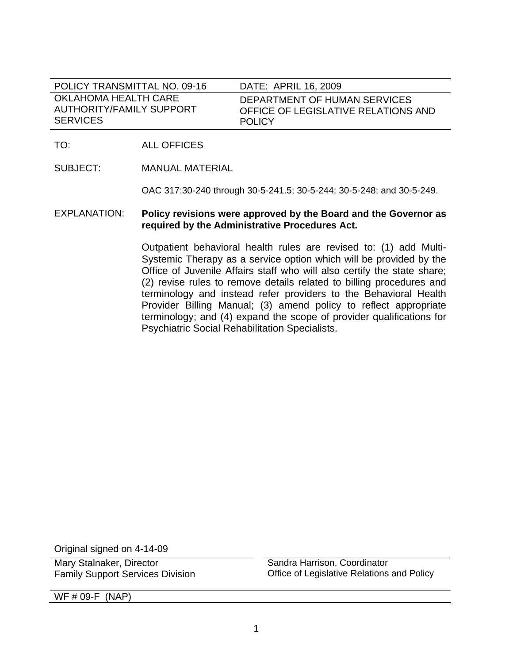| POLICY TRANSMITTAL NO. 09-16 | DATE: APRIL 16, 2009                |
|------------------------------|-------------------------------------|
| OKLAHOMA HEALTH CARE         | DEPARTMENT OF HUMAN SERVICES        |
| AUTHORITY/FAMILY SUPPORT     | OFFICE OF LEGISLATIVE RELATIONS AND |
| <b>SERVICES</b>              | <b>POLICY</b>                       |

TO: ALL OFFICES

SUBJECT: MANUAL MATERIAL

OAC 317:30-240 through 30-5-241.5; 30-5-244; 30-5-248; and 30-5-249.

# EXPLANATION: **Policy revisions were approved by the Board and the Governor as required by the Administrative Procedures Act.**

Outpatient behavioral health rules are revised to: (1) add Multi-Systemic Therapy as a service option which will be provided by the Office of Juvenile Affairs staff who will also certify the state share; (2) revise rules to remove details related to billing procedures and terminology and instead refer providers to the Behavioral Health Provider Billing Manual; (3) amend policy to reflect appropriate terminology; and (4) expand the scope of provider qualifications for Psychiatric Social Rehabilitation Specialists.

Original signed on 4-14-09

Mary Stalnaker, Director Family Support Services Division

Sandra Harrison, Coordinator Office of Legislative Relations and Policy

WF # 09-F (NAP)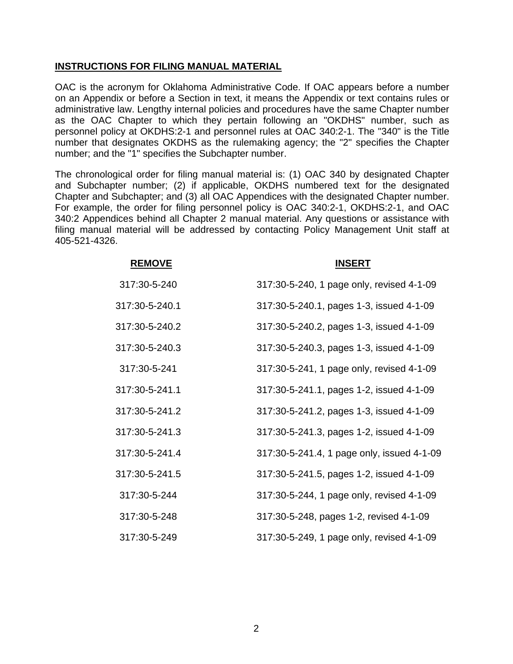# **INSTRUCTIONS FOR FILING MANUAL MATERIAL**

OAC is the acronym for Oklahoma Administrative Code. If OAC appears before a number on an Appendix or before a Section in text, it means the Appendix or text contains rules or administrative law. Lengthy internal policies and procedures have the same Chapter number as the OAC Chapter to which they pertain following an "OKDHS" number, such as personnel policy at OKDHS:2-1 and personnel rules at OAC 340:2-1. The "340" is the Title number that designates OKDHS as the rulemaking agency; the "2" specifies the Chapter number; and the "1" specifies the Subchapter number.

The chronological order for filing manual material is: (1) OAC 340 by designated Chapter and Subchapter number; (2) if applicable, OKDHS numbered text for the designated Chapter and Subchapter; and (3) all OAC Appendices with the designated Chapter number. For example, the order for filing personnel policy is OAC 340:2-1, OKDHS:2-1, and OAC 340:2 Appendices behind all Chapter 2 manual material. Any questions or assistance with filing manual material will be addressed by contacting Policy Management Unit staff at 405-521-4326.

| <b>REMOVE</b>  | <b>INSERT</b>                              |
|----------------|--------------------------------------------|
| 317:30-5-240   | 317:30-5-240, 1 page only, revised 4-1-09  |
| 317:30-5-240.1 | 317:30-5-240.1, pages 1-3, issued 4-1-09   |
| 317:30-5-240.2 | 317:30-5-240.2, pages 1-3, issued 4-1-09   |
| 317:30-5-240.3 | 317:30-5-240.3, pages 1-3, issued 4-1-09   |
| 317:30-5-241   | 317:30-5-241, 1 page only, revised 4-1-09  |
| 317:30-5-241.1 | 317:30-5-241.1, pages 1-2, issued 4-1-09   |
| 317:30-5-241.2 | 317:30-5-241.2, pages 1-3, issued 4-1-09   |
| 317:30-5-241.3 | 317:30-5-241.3, pages 1-2, issued 4-1-09   |
| 317:30-5-241.4 | 317:30-5-241.4, 1 page only, issued 4-1-09 |
| 317:30-5-241.5 | 317:30-5-241.5, pages 1-2, issued 4-1-09   |
| 317:30-5-244   | 317:30-5-244, 1 page only, revised 4-1-09  |
| 317:30-5-248   | 317:30-5-248, pages 1-2, revised 4-1-09    |
| 317:30-5-249   | 317:30-5-249, 1 page only, revised 4-1-09  |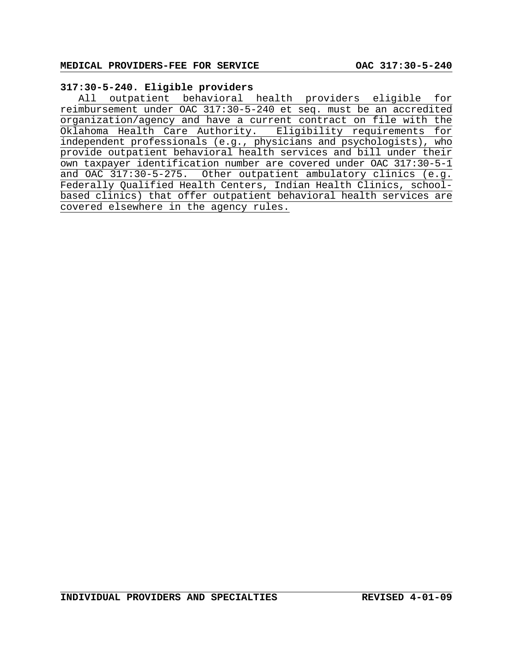# **317:30-5-240. Eligible providers**

All outpatient behavioral health providers eligible for reimbursement under OAC 317:30-5-240 et seq. must be an accredited organization/agency and have a current contract on file with the Oklahoma Health Care Authority. Eligibility requirements for independent professionals (e.g., physicians and psychologists), who provide outpatient behavioral health services and bill under their own taxpayer identification number are covered under OAC 317:30-5-1 and OAC 317:30-5-275. Other outpatient ambulatory clinics (e.g. Federally Qualified Health Centers, Indian Health Clinics, schoolbased clinics) that offer outpatient behavioral health services are covered elsewhere in the agency rules.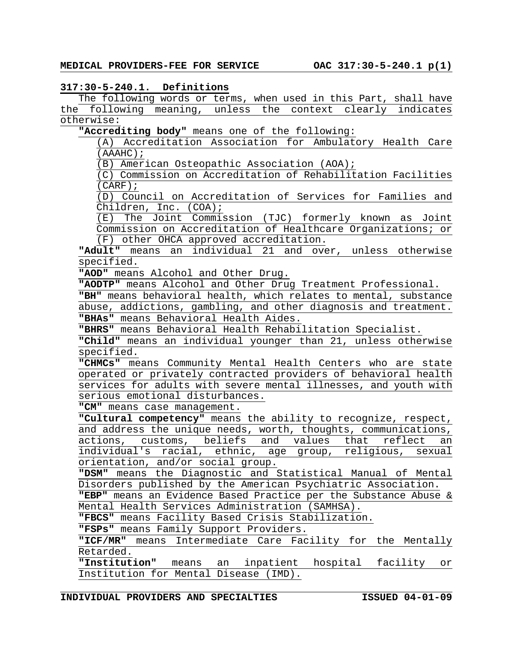#### **317:30-5-240.1. Definitions**

The following words or terms, when used in this Part, shall have the following meaning, unless the context clearly indicates otherwise:

**"Accrediting body"** means one of the following:

(A) Accreditation Association for Ambulatory Health Care (AAAHC);

(B) American Osteopathic Association (AOA);

(C) Commission on Accreditation of Rehabilitation Facilities (CARF);

(D) Council on Accreditation of Services for Families and Children, Inc. (COA);

(E) The Joint Commission (TJC) formerly known as Joint Commission on Accreditation of Healthcare Organizations; or (F) other OHCA approved accreditation.

**"Adult"** means an individual 21 and over, unless otherwise specified.

**"AOD"** means Alcohol and Other Drug.

**"AODTP"** means Alcohol and Other Drug Treatment Professional.

**"BH"** means behavioral health, which relates to mental, substance abuse, addictions, gambling, and other diagnosis and treatment. **"BHAs"** means Behavioral Health Aides.

**"BHRS"** means Behavioral Health Rehabilitation Specialist.

**"Child"** means an individual younger than 21, unless otherwise specified.

**"CHMCs"** means Community Mental Health Centers who are state operated or privately contracted providers of behavioral health services for adults with severe mental illnesses, and youth with serious emotional disturbances.

**"CM"** means case management.

**"Cultural competency"** means the ability to recognize, respect, and address the unique needs, worth, thoughts, communications, actions, customs, beliefs and values that reflect an individual's racial, ethnic, age group, religious, sexual orientation, and/or social group.

**"DSM"** means the Diagnostic and Statistical Manual of Mental Disorders published by the American Psychiatric Association.

**"EBP"** means an Evidence Based Practice per the Substance Abuse & Mental Health Services Administration (SAMHSA).

**"FBCS"** means Facility Based Crisis Stabilization.

**"FSPs"** means Family Support Providers.

**"ICF/MR"** means Intermediate Care Facility for the Mentally Retarded.

**"Institution"** means an inpatient hospital facility or Institution for Mental Disease (IMD).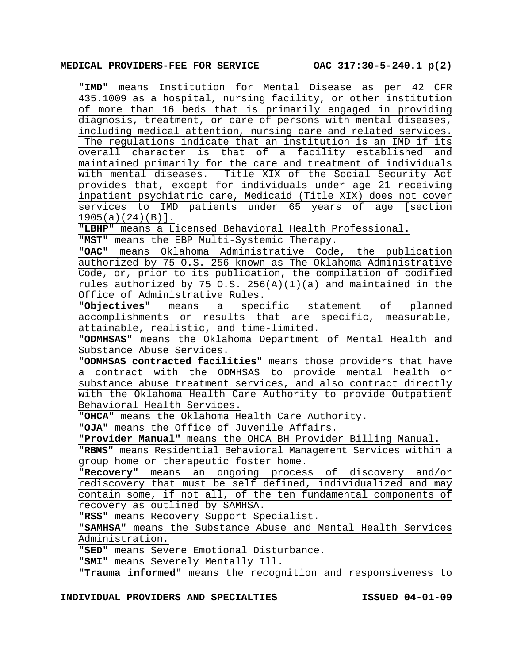**"IMD"** means Institution for Mental Disease as per 42 CFR 435.1009 as a hospital, nursing facility, or other institution of more than 16 beds that is primarily engaged in providing diagnosis, treatment, or care of persons with mental diseases, including medical attention, nursing care and related services. The regulations indicate that an institution is an IMD if its overall character is that of a facility established and maintained primarily for the care and treatment of individuals with mental diseases. Title XIX of the Social Security Act provides that, except for individuals under age 21 receiving inpatient psychiatric care, Medicaid (Title XIX) does not cover services to IMD patients under 65 years of age [section 1905(a)(24)(B)].

**"LBHP"** means a Licensed Behavioral Health Professional.

**"MST"** means the EBP Multi-Systemic Therapy.

**"OAC"** means Oklahoma Administrative Code, the publication authorized by 75 O.S. 256 known as The Oklahoma Administrative Code, or, prior to its publication, the compilation of codified rules authorized by 75 O.S.  $256(A)(1)(a)$  and maintained in the Office of Administrative Rules.

**"Objectives"** means a specific statement of planned accomplishments or results that are specific, measurable, attainable, realistic, and time-limited.

**"ODMHSAS"** means the Oklahoma Department of Mental Health and Substance Abuse Services.

**"ODMHSAS contracted facilities"** means those providers that have a contract with the ODMHSAS to provide mental health or substance abuse treatment services, and also contract directly with the Oklahoma Health Care Authority to provide Outpatient Behavioral Health Services.

**"OHCA"** means the Oklahoma Health Care Authority.

**"OJA"** means the Office of Juvenile Affairs.

**"Provider Manual"** means the OHCA BH Provider Billing Manual.

**"RBMS"** means Residential Behavioral Management Services within a group home or therapeutic foster home.

**"Recovery"** means an ongoing process of discovery and/or rediscovery that must be self defined, individualized and may contain some, if not all, of the ten fundamental components of recovery as outlined by SAMHSA.

**"RSS"** means Recovery Support Specialist.

**"SAMHSA"** means the Substance Abuse and Mental Health Services Administration.

**"SED"** means Severe Emotional Disturbance.

**"SMI"** means Severely Mentally Ill.

**"Trauma informed"** means the recognition and responsiveness to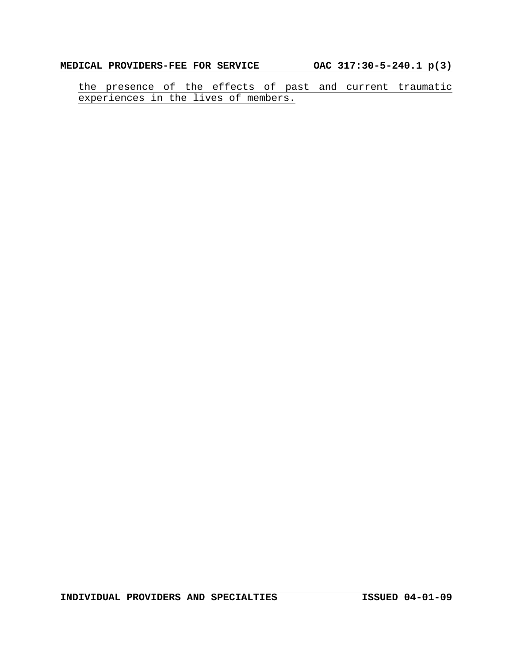the presence of the effects of past and current traumatic experiences in the lives of members.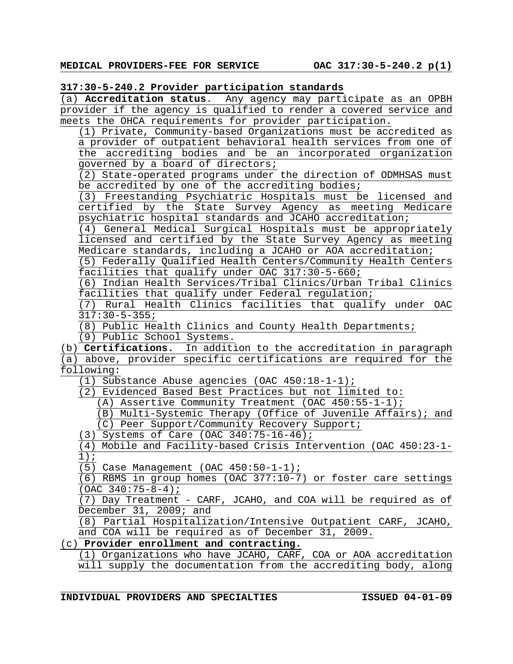### **317:30-5-240.2 Provider participation standards**

(a) **Accreditation status**. Any agency may participate as an OPBH provider if the agency is qualified to render a covered service and meets the OHCA requirements for provider participation.

(1) Private, Community-based Organizations must be accredited as a provider of outpatient behavioral health services from one of the accrediting bodies and be an incorporated organization governed by a board of directors;

(2) State-operated programs under the direction of ODMHSAS must be accredited by one of the accrediting bodies;

(3) Freestanding Psychiatric Hospitals must be licensed and certified by the State Survey Agency as meeting Medicare psychiatric hospital standards and JCAHO accreditation;

(4) General Medical Surgical Hospitals must be appropriately licensed and certified by the State Survey Agency as meeting Medicare standards, including a JCAHO or AOA accreditation;

(5) Federally Qualified Health Centers/Community Health Centers facilities that qualify under OAC 317:30-5-660;

(6) Indian Health Services/Tribal Clinics/Urban Tribal Clinics facilities that qualify under Federal regulation;

(7) Rural Health Clinics facilities that qualify under OAC 317:30-5-355;

(8) Public Health Clinics and County Health Departments;

(9) Public School Systems.

(b) **Certifications.** In addition to the accreditation in paragraph (a) above, provider specific certifications are required for the following:

(1) Substance Abuse agencies (OAC 450:18-1-1);

(2) Evidenced Based Best Practices but not limited to:

(A) Assertive Community Treatment (OAC 450:55-1-1);

(B) Multi-Systemic Therapy (Office of Juvenile Affairs); and (C) Peer Support/Community Recovery Support;

(3) Systems of Care (OAC 340:75-16-46);

(4) Mobile and Facility-based Crisis Intervention (OAC 450:23-1- 1);

(5) Case Management (OAC 450:50-1-1);

(6) RBMS in group homes (OAC 377:10-7) or foster care settings (OAC 340:75-8-4);

(7) Day Treatment - CARF, JCAHO, and COA will be required as of December 31, 2009; and

(8) Partial Hospitalization/Intensive Outpatient CARF, JCAHO, and COA will be required as of December 31, 2009.

# (c) **Provider enrollment and contracting.**

(1) Organizations who have JCAHO, CARF, COA or AOA accreditation will supply the documentation from the accrediting body, along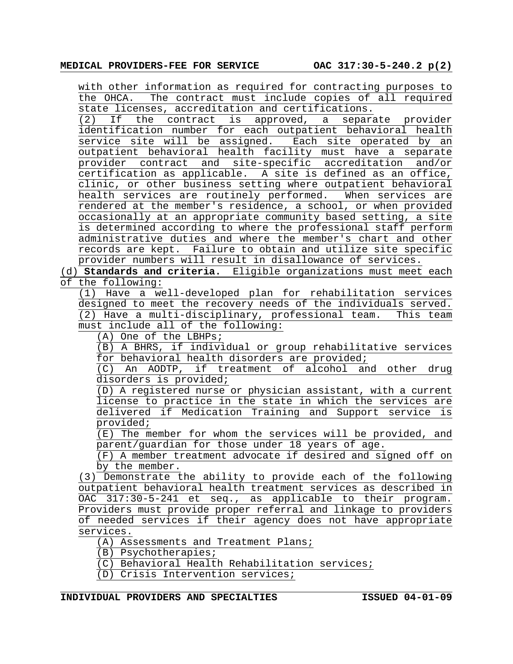with other information as required for contracting purposes to the OHCA. The contract must include copies of all required state licenses, accreditation and certifications.

(2) If the contract is approved, a separate provider identification number for each outpatient behavioral health service site will be assigned. Each site operated by an outpatient behavioral health facility must have a separate provider contract and site-specific accreditation and/or certification as applicable. A site is defined as an office, clinic, or other business setting where outpatient behavioral health services are routinely performed. When services are rendered at the member's residence, a school, or when provided occasionally at an appropriate community based setting, a site is determined according to where the professional staff perform administrative duties and where the member's chart and other records are kept. Failure to obtain and utilize site specific provider numbers will result in disallowance of services.

(d) **Standards and criteria.** Eligible organizations must meet each of the following:

(1) Have a well-developed plan for rehabilitation services designed to meet the recovery needs of the individuals served. (2) Have a multi-disciplinary, professional team. This team must include all of the following:

(A) One of the LBHPs;

(B) A BHRS, if individual or group rehabilitative services for behavioral health disorders are provided;

(C) An AODTP, if treatment of alcohol and other drug disorders is provided;

(D) A registered nurse or physician assistant, with a current license to practice in the state in which the services are delivered if Medication Training and Support service is provided;

(E) The member for whom the services will be provided, and parent/guardian for those under 18 years of age.

(F) A member treatment advocate if desired and signed off on by the member.

(3) Demonstrate the ability to provide each of the following outpatient behavioral health treatment services as described in OAC 317:30-5-241 et seq., as applicable to their program. Providers must provide proper referral and linkage to providers of needed services if their agency does not have appropriate services.

(A) Assessments and Treatment Plans;

(B) Psychotherapies;

(C) Behavioral Health Rehabilitation services;

(D) Crisis Intervention services;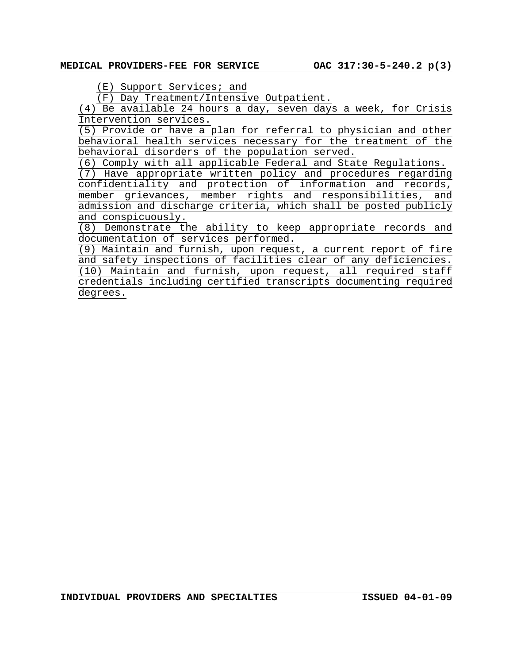# MEDICAL PROVIDERS-FEE FOR SERVICE 0AC 317:30-5-240.2 p(3)

(E) Support Services; and

(F) Day Treatment/Intensive Outpatient.

(4) Be available 24 hours a day, seven days a week, for Crisis Intervention services.

(5) Provide or have a plan for referral to physician and other behavioral health services necessary for the treatment of the behavioral disorders of the population served.

(6) Comply with all applicable Federal and State Regulations.

(7) Have appropriate written policy and procedures regarding confidentiality and protection of information and records, member grievances, member rights and responsibilities, and admission and discharge criteria, which shall be posted publicly and conspicuously.

(8) Demonstrate the ability to keep appropriate records and documentation of services performed.

(9) Maintain and furnish, upon request, a current report of fire and safety inspections of facilities clear of any deficiencies. (10) Maintain and furnish, upon request, all required staff credentials including certified transcripts documenting required degrees.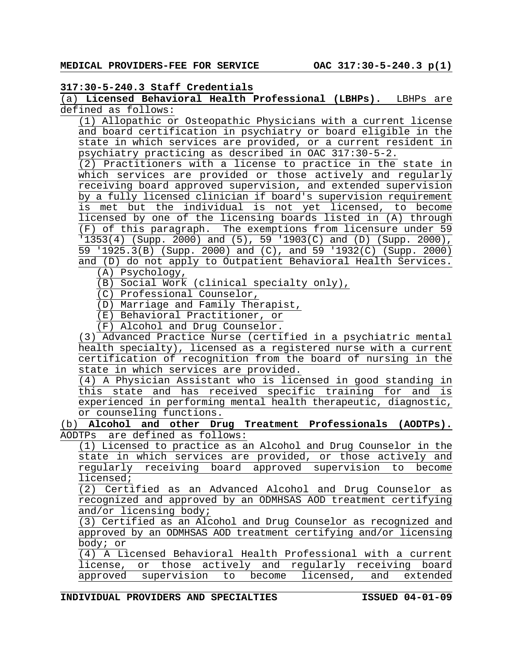## **317:30-5-240.3 Staff Credentials**

(a) **Licensed Behavioral Health Professional (LBHPs).** LBHPs are defined as follows:

(1) Allopathic or Osteopathic Physicians with a current license and board certification in psychiatry or board eligible in the state in which services are provided, or a current resident in psychiatry practicing as described in OAC 317:30-5-2.

(2) Practitioners with a license to practice in the state in which services are provided or those actively and regularly receiving board approved supervision, and extended supervision by a fully licensed clinician if board's supervision requirement is met but the individual is not yet licensed, to become licensed by one of the licensing boards listed in (A) through (F) of this paragraph. The exemptions from licensure under 59 '1353(4) (Supp. 2000) and (5), 59 '1903(C) and (D) (Supp. 2000), 59 '1925.3(B) (Supp. 2000) and (C), and 59 '1932(C) (Supp. 2000) and (D) do not apply to Outpatient Behavioral Health Services.

(A) Psychology,

(B) Social Work (clinical specialty only),

(C) Professional Counselor,

(D) Marriage and Family Therapist,

(E) Behavioral Practitioner, or

(F) Alcohol and Drug Counselor.

(3) Advanced Practice Nurse (certified in a psychiatric mental health specialty), licensed as a registered nurse with a current certification of recognition from the board of nursing in the state in which services are provided.

(4) A Physician Assistant who is licensed in good standing in this state and has received specific training for and is experienced in performing mental health therapeutic, diagnostic, or counseling functions.

(b) **Alcohol and other Drug Treatment Professionals (AODTPs).** AODTPs are defined as follows:

(1) Licensed to practice as an Alcohol and Drug Counselor in the state in which services are provided, or those actively and regularly receiving board approved supervision to become licensed;

(2) Certified as an Advanced Alcohol and Drug Counselor as recognized and approved by an ODMHSAS AOD treatment certifying and/or licensing body;

(3) Certified as an Alcohol and Drug Counselor as recognized and approved by an ODMHSAS AOD treatment certifying and/or licensing body; or

(4) A Licensed Behavioral Health Professional with a current license, or those actively and regularly receiving board approved supervision to become licensed, and extended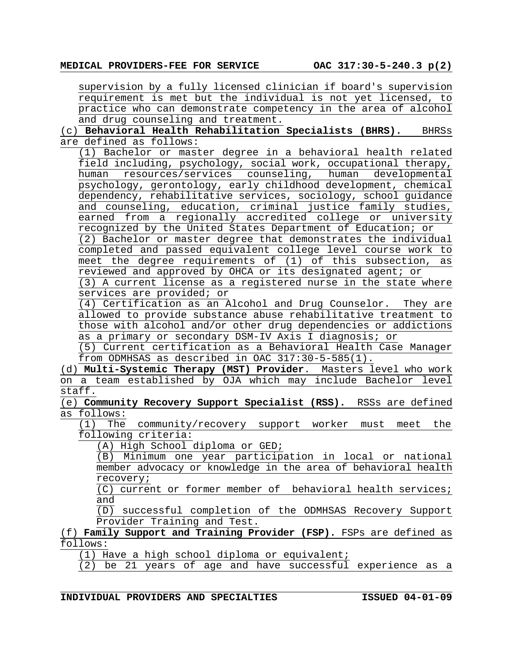supervision by a fully licensed clinician if board's supervision requirement is met but the individual is not yet licensed, to practice who can demonstrate competency in the area of alcohol and drug counseling and treatment.

(c) **Behavioral Health Rehabilitation Specialists (BHRS).** BHRSs are defined as follows:

(1) Bachelor or master degree in a behavioral health related field including, psychology, social work, occupational therapy, human resources/services counseling, human developmental psychology, gerontology, early childhood development, chemical dependency, rehabilitative services, sociology, school guidance and counseling, education, criminal justice family studies, earned from a regionally accredited college or university recognized by the United States Department of Education; or

(2) Bachelor or master degree that demonstrates the individual completed and passed equivalent college level course work to meet the degree requirements of (1) of this subsection, as reviewed and approved by OHCA or its designated agent; or

(3) A current license as a registered nurse in the state where services are provided; or

(4) Certification as an Alcohol and Drug Counselor. They are allowed to provide substance abuse rehabilitative treatment to those with alcohol and/or other drug dependencies or addictions as a primary or secondary DSM-IV Axis I diagnosis; or

(5) Current certification as a Behavioral Health Case Manager from ODMHSAS as described in OAC 317:30-5-585(1).

(d) **Multi-Systemic Therapy (MST) Provider**. Masters level who work on a team established by OJA which may include Bachelor level staff.

(e) **Community Recovery Support Specialist (RSS).** RSSs are defined as follows:

(1) The community/recovery support worker must meet the following criteria:

(A) High School diploma or GED;

(B) Minimum one year participation in local or national member advocacy or knowledge in the area of behavioral health recovery;

(C) current or former member of behavioral health services; and

(D) successful completion of the ODMHSAS Recovery Support Provider Training and Test.

### (f) **Family Support and Training Provider (FSP).** FSPs are defined as follows:

(1) Have a high school diploma or equivalent;

(2) be 21 years of age and have successful experience as a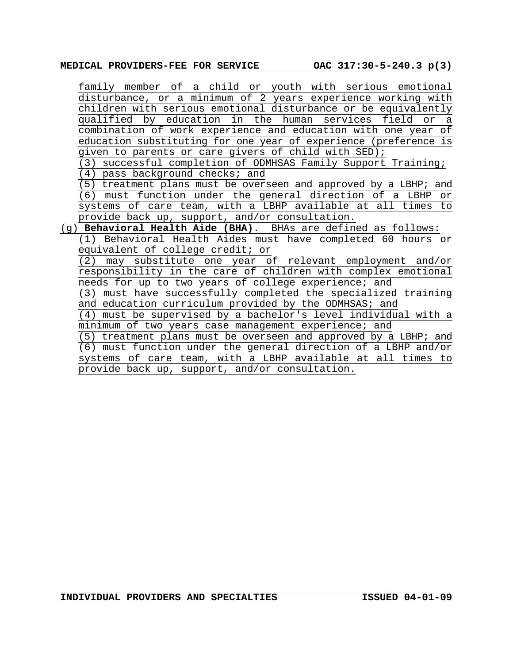# **MEDICAL PROVIDERS-FEE FOR SERVICE OAC 317:30-5-240.3 p(3)**

| family member of a child or youth with serious emotional         |  |  |
|------------------------------------------------------------------|--|--|
| disturbance, or a minimum of 2 years experience working with     |  |  |
| children with serious emotional disturbance or be equivalently   |  |  |
| qualified by education in the human services field or a          |  |  |
| combination of work experience and education with one year of    |  |  |
| education substituting for one year of experience (preference is |  |  |
| given to parents or care givers of child with SED);              |  |  |
| (3) successful completion of ODMHSAS Family Support Training;    |  |  |
| 4) pass background checks; and                                   |  |  |
| (5) treatment plans must be overseen and approved by a LBHP; and |  |  |
| (6) must function under the general direction of a LBHP or       |  |  |
| systems of care team, with a LBHP available at all times to      |  |  |
| provide back up, support, and/or consultation.                   |  |  |
| (g) Behavioral Health Aide (BHA). BHAs are defined as follows:   |  |  |
| (1) Behavioral Health Aides must have completed 60 hours or      |  |  |
| equivalent of college credit; or                                 |  |  |
| (2) may substitute one year of relevant employment and/or        |  |  |
| responsibility in the care of children with complex emotional    |  |  |
| needs for up to two years of college experience; and             |  |  |
| (3) must have successfully completed the specialized training    |  |  |
| and education curriculum provided by the ODMHSAS; and            |  |  |
| (4) must be supervised by a bachelor's level individual with a   |  |  |
| minimum of two years case management experience; and             |  |  |
| (5) treatment plans must be overseen and approved by a LBHP; and |  |  |
| (6) must function under the general direction of a LBHP and/or   |  |  |
| systems of care team, with a LBHP available at all times to      |  |  |
| provide back up, support, and/or consultation.                   |  |  |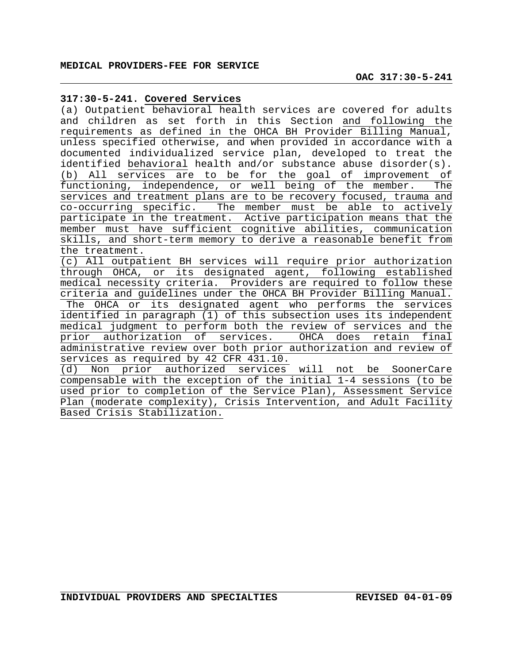#### **317:30-5-241. Covered Services**

(a) Outpatient behavioral health services are covered for adults and children as set forth in this Section and following the requirements as defined in the OHCA BH Provider Billing Manual, unless specified otherwise, and when provided in accordance with a documented individualized service plan, developed to treat the identified behavioral health and/or substance abuse disorder(s). (b) All services are to be for the goal of improvement of functioning, independence, or well being of the member. The services and treatment plans are to be recovery focused, trauma and co-occurring specific. The member must be able to actively participate in the treatment. Active participation means that the member must have sufficient cognitive abilities, communication skills, and short-term memory to derive a reasonable benefit from the treatment.

(c) All outpatient BH services will require prior authorization through OHCA, or its designated agent, following established medical necessity criteria. Providers are required to follow these criteria and guidelines under the OHCA BH Provider Billing Manual. The OHCA or its designated agent who performs the services identified in paragraph (1) of this subsection uses its independent medical judgment to perform both the review of services and the prior authorization of services. OHCA does retain final administrative review over both prior authorization and review of services as required by 42 CFR 431.10.

(d) Non prior authorized services will not be SoonerCare compensable with the exception of the initial 1-4 sessions (to be used prior to completion of the Service Plan), Assessment Service Plan (moderate complexity), Crisis Intervention, and Adult Facility Based Crisis Stabilization.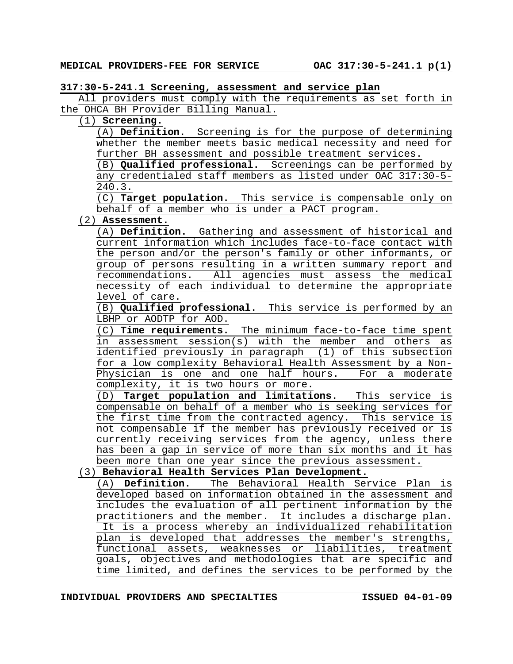## **317:30-5-241.1 Screening, assessment and service plan**

All providers must comply with the requirements as set forth in the OHCA BH Provider Billing Manual.

# (1) **Screening.**

(A) **Definition.** Screening is for the purpose of determining whether the member meets basic medical necessity and need for further BH assessment and possible treatment services.

(B) **Qualified professional.** Screenings can be performed by any credentialed staff members as listed under OAC 317:30-5- 240.3.

(C) **Target population.** This service is compensable only on behalf of a member who is under a PACT program.

# (2) **Assessment.**

(A) **Definition.** Gathering and assessment of historical and current information which includes face-to-face contact with the person and/or the person's family or other informants, or group of persons resulting in a written summary report and recommendations. All agencies must assess the medical necessity of each individual to determine the appropriate level of care.

(B) **Qualified professional.** This service is performed by an LBHP or AODTP for AOD.

(C) **Time requirements.** The minimum face-to-face time spent in assessment session(s) with the member and others as identified previously in paragraph (1) of this subsection for a low complexity Behavioral Health Assessment by a Non-Physician is one and one half hours. For a moderate complexity, it is two hours or more.

(D) **Target population and limitations.** This service is compensable on behalf of a member who is seeking services for the first time from the contracted agency. This service is not compensable if the member has previously received or is currently receiving services from the agency, unless there has been a gap in service of more than six months and it has been more than one year since the previous assessment.

# (3) **Behavioral Health Services Plan Development.**

(A) **Definition.** The Behavioral Health Service Plan is developed based on information obtained in the assessment and includes the evaluation of all pertinent information by the practitioners and the member. It includes a discharge plan. It is a process whereby an individualized rehabilitation plan is developed that addresses the member's strengths, functional assets, weaknesses or liabilities, treatment goals, objectives and methodologies that are specific and time limited, and defines the services to be performed by the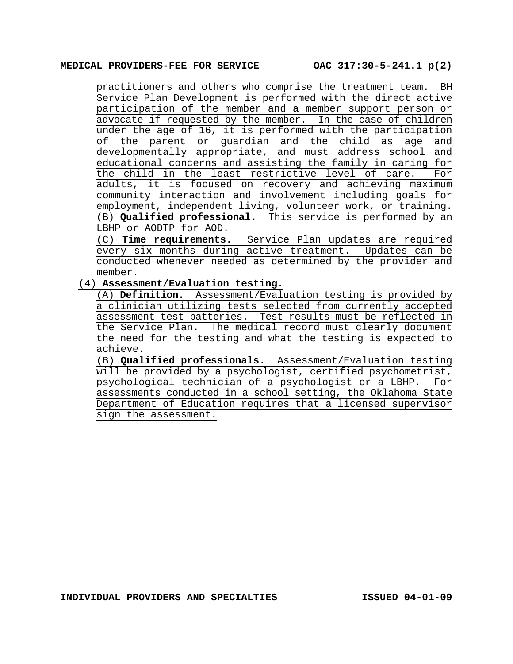practitioners and others who comprise the treatment team. BH Service Plan Development is performed with the direct active participation of the member and a member support person or advocate if requested by the member. In the case of children under the age of 16, it is performed with the participation of the parent or guardian and the child as age and developmentally appropriate, and must address school and educational concerns and assisting the family in caring for the child in the least restrictive level of care. For adults, it is focused on recovery and achieving maximum community interaction and involvement including goals for employment, independent living, volunteer work, or training. (B) **Qualified professional.** This service is performed by an LBHP or AODTP for AOD.

(C) **Time requirements.** Service Plan updates are required every six months during active treatment. Updates can be conducted whenever needed as determined by the provider and member.

#### (4) **Assessment/Evaluation testing.**

(A) **Definition.** Assessment/Evaluation testing is provided by a clinician utilizing tests selected from currently accepted assessment test batteries. Test results must be reflected in the Service Plan. The medical record must clearly document the need for the testing and what the testing is expected to achieve.

(B) **Qualified professionals.** Assessment/Evaluation testing will be provided by a psychologist, certified psychometrist, psychological technician of a psychologist or a LBHP. For assessments conducted in a school setting, the Oklahoma State Department of Education requires that a licensed supervisor sign the assessment.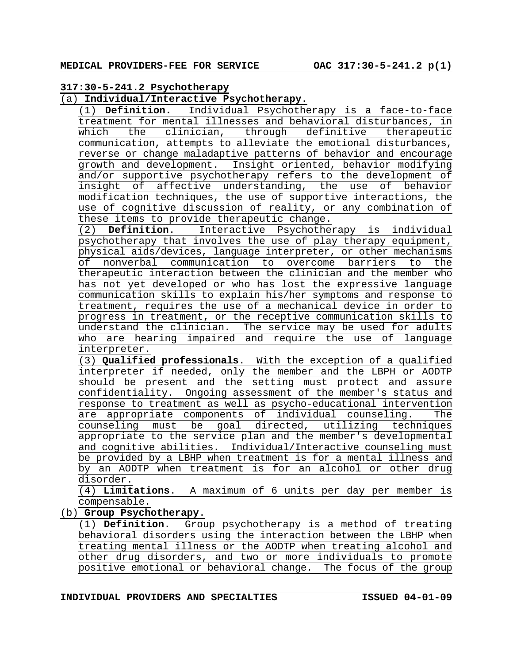#### **317:30-5-241.2 Psychotherapy**

### (a) **Individual/Interactive Psychotherapy.**

(1) **Definition.** Individual Psychotherapy is a face-to-face treatment for mental illnesses and behavioral disturbances, in which the clinician, through definitive therapeutic communication, attempts to alleviate the emotional disturbances, reverse or change maladaptive patterns of behavior and encourage growth and development. Insight oriented, behavior modifying and/or supportive psychotherapy refers to the development of insight of affective understanding, the use of behavior modification techniques, the use of supportive interactions, the use of cognitive discussion of reality, or any combination of these items to provide therapeutic change.

(2) **Definition**. Interactive Psychotherapy is individual psychotherapy that involves the use of play therapy equipment, physical aids/devices, language interpreter, or other mechanisms of nonverbal communication to overcome barriers to the therapeutic interaction between the clinician and the member who has not yet developed or who has lost the expressive language communication skills to explain his/her symptoms and response to treatment, requires the use of a mechanical device in order to progress in treatment, or the receptive communication skills to understand the clinician. The service may be used for adults who are hearing impaired and require the use of language interpreter.

(3) **Qualified professionals**. With the exception of a qualified interpreter if needed, only the member and the LBPH or AODTP should be present and the setting must protect and assure confidentiality. Ongoing assessment of the member's status and response to treatment as well as psycho-educational intervention are appropriate components of individual counseling. The counseling must be goal directed, utilizing techniques appropriate to the service plan and the member's developmental and cognitive abilities. Individual/Interactive counseling must be provided by a LBHP when treatment is for a mental illness and by an AODTP when treatment is for an alcohol or other drug disorder.

(4) **Limitations**. A maximum of 6 units per day per member is compensable.

(b) **Group Psychotherapy**.

(1) **Definition**. Group psychotherapy is a method of treating behavioral disorders using the interaction between the LBHP when treating mental illness or the AODTP when treating alcohol and other drug disorders, and two or more individuals to promote positive emotional or behavioral change. The focus of the group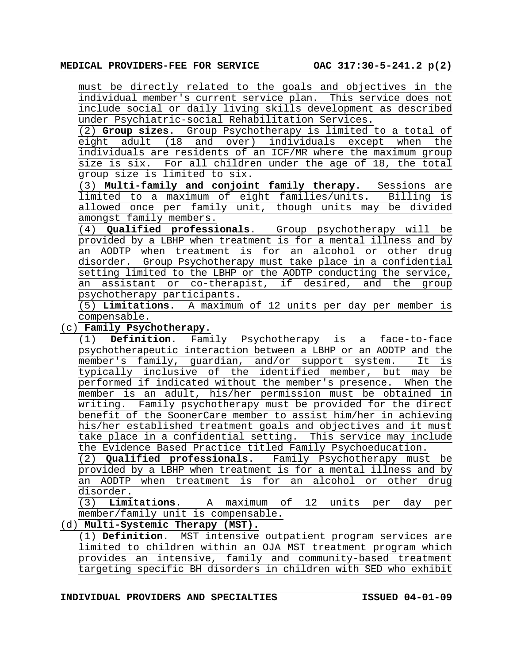must be directly related to the goals and objectives in the individual member's current service plan. This service does not include social or daily living skills development as described under Psychiatric-social Rehabilitation Services.

(2) **Group sizes**. Group Psychotherapy is limited to a total of eight adult (18 and over) individuals except when the individuals are residents of an ICF/MR where the maximum group size is six. For all children under the age of 18, the total group size is limited to six.

(3) **Multi-family and conjoint family therapy**. Sessions are limited to a maximum of eight families/units. Billing is allowed once per family unit, though units may be divided amongst family members.

(4) **Qualified professionals**. Group psychotherapy will be provided by a LBHP when treatment is for a mental illness and by an AODTP when treatment is for an alcohol or other drug disorder. Group Psychotherapy must take place in a confidential setting limited to the LBHP or the AODTP conducting the service, an assistant or co-therapist, if desired, and the group psychotherapy participants.

(5) **Limitations**. A maximum of 12 units per day per member is compensable.

#### (c) **Family Psychotherapy**.

(1) **Definition**. Family Psychotherapy is a face-to-face psychotherapeutic interaction between a LBHP or an AODTP and the member's family, guardian, and/or support system. It is typically inclusive of the identified member, but may be performed if indicated without the member's presence. When the member is an adult, his/her permission must be obtained in writing. Family psychotherapy must be provided for the direct benefit of the SoonerCare member to assist him/her in achieving his/her established treatment goals and objectives and it must take place in a confidential setting. This service may include the Evidence Based Practice titled Family Psychoeducation.

(2) **Qualified professionals**. Family Psychotherapy must be provided by a LBHP when treatment is for a mental illness and by an AODTP when treatment is for an alcohol or other drug disorder.

(3) **Limitations**. A maximum of 12 units per day per member/family unit is compensable.

# (d) **Multi-Systemic Therapy (MST).**

(1) **Definition**. MST intensive outpatient program services are limited to children within an OJA MST treatment program which provides an intensive, family and community-based treatment targeting specific BH disorders in children with SED who exhibit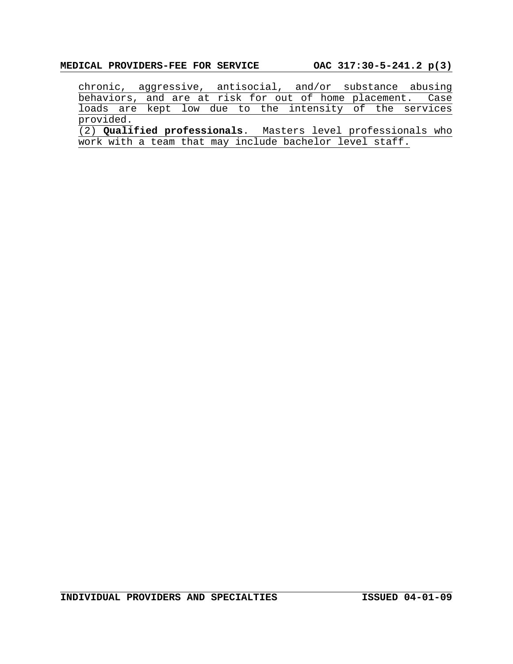chronic, aggressive, antisocial, and/or substance abusing behaviors, and are at risk for out of home placement. Case loads are kept low due to the intensity of the services provided.

(2) **Qualified professionals**. Masters level professionals who work with a team that may include bachelor level staff.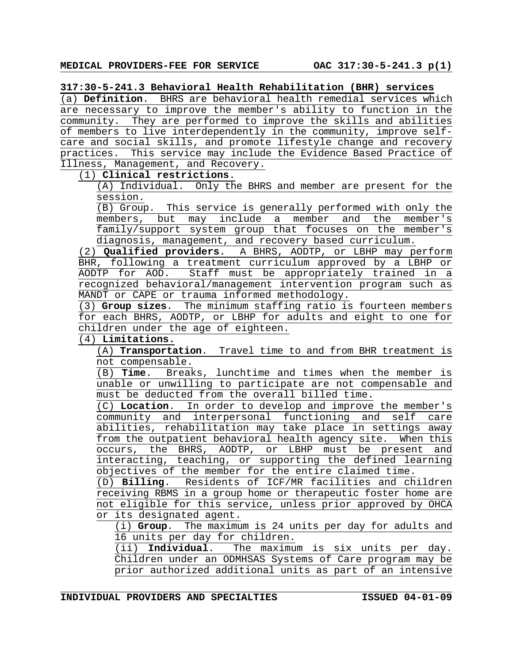**317:30-5-241.3 Behavioral Health Rehabilitation (BHR) services**

(a) **Definition**. BHRS are behavioral health remedial services which are necessary to improve the member's ability to function in the community. They are performed to improve the skills and abilities of members to live interdependently in the community, improve selfcare and social skills, and promote lifestyle change and recovery practices. This service may include the Evidence Based Practice of Illness, Management, and Recovery.

(1) **Clinical restrictions**.

(A) Individual. Only the BHRS and member are present for the session.

(B) Group. This service is generally performed with only the members, but may include a member and the member's family/support system group that focuses on the member's diagnosis, management, and recovery based curriculum.

(2) **Qualified providers**. A BHRS, AODTP, or LBHP may perform BHR, following a treatment curriculum approved by a LBHP or AODTP for AOD. Staff must be appropriately trained in a recognized behavioral/management intervention program such as MANDT or CAPE or trauma informed methodology.

(3) **Group sizes**. The minimum staffing ratio is fourteen members for each BHRS, AODTP, or LBHP for adults and eight to one for children under the age of eighteen.

(4) **Limitations.** 

(A) **Transportation**. Travel time to and from BHR treatment is not compensable.

(B) **Time**. Breaks, lunchtime and times when the member is unable or unwilling to participate are not compensable and must be deducted from the overall billed time.

(C) **Location**. In order to develop and improve the member's community and interpersonal functioning and self care abilities, rehabilitation may take place in settings away from the outpatient behavioral health agency site. When this occurs, the BHRS, AODTP, or LBHP must be present and interacting, teaching, or supporting the defined learning objectives of the member for the entire claimed time.

(D) **Billing**. Residents of ICF/MR facilities and children receiving RBMS in a group home or therapeutic foster home are not eligible for this service, unless prior approved by OHCA or its designated agent.

(i) **Group**. The maximum is 24 units per day for adults and 16 units per day for children.

(ii) **Individual**. The maximum is six units per day. Children under an ODMHSAS Systems of Care program may be prior authorized additional units as part of an intensive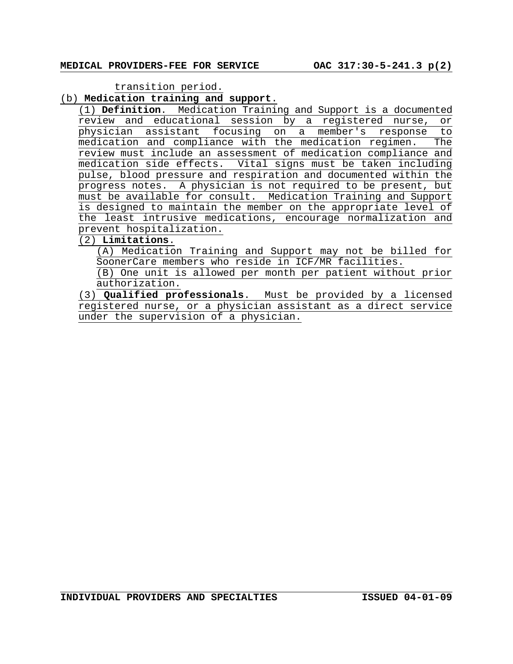transition period.

#### (b) **Medication training and support**.

(1) **Definition**. Medication Training and Support is a documented review and educational session by a registered nurse, or physician assistant focusing on a member's response to medication and compliance with the medication regimen. The review must include an assessment of medication compliance and medication side effects. Vital signs must be taken including pulse, blood pressure and respiration and documented within the progress notes. A physician is not required to be present, but must be available for consult. Medication Training and Support is designed to maintain the member on the appropriate level of the least intrusive medications, encourage normalization and prevent hospitalization.

# (2) **Limitations**.

(A) Medication Training and Support may not be billed for SoonerCare members who reside in ICF/MR facilities.

(B) One unit is allowed per month per patient without prior authorization.

(3) **Qualified professionals**. Must be provided by a licensed registered nurse, or a physician assistant as a direct service under the supervision of a physician.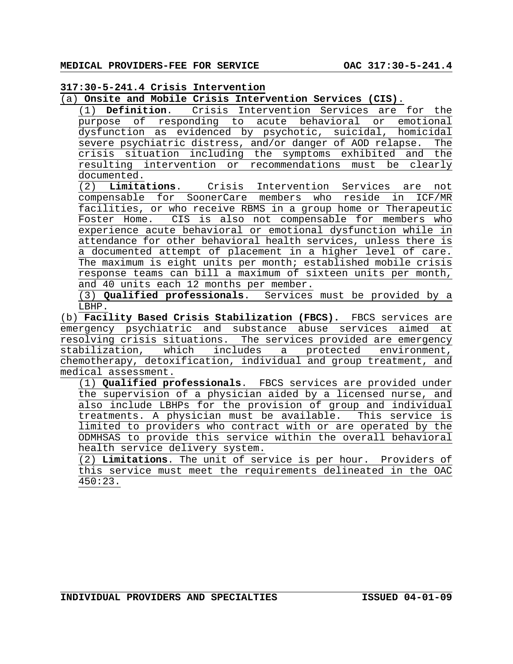#### **317:30-5-241.4 Crisis Intervention**

#### (a) **Onsite and Mobile Crisis Intervention Services (CIS)**.

(1) **Definition**. Crisis Intervention Services are for the purpose of responding to acute behavioral or emotional dysfunction as evidenced by psychotic, suicidal, homicidal severe psychiatric distress, and/or danger of AOD relapse. The crisis situation including the symptoms exhibited and the resulting intervention or recommendations must be clearly documented.

(2) **Limitations**. Crisis Intervention Services are not compensable for SoonerCare members who reside in ICF/MR facilities, or who receive RBMS in a group home or Therapeutic Foster Home. CIS is also not compensable for members who experience acute behavioral or emotional dysfunction while in attendance for other behavioral health services, unless there is a documented attempt of placement in a higher level of care. The maximum is eight units per month; established mobile crisis response teams can bill a maximum of sixteen units per month, and 40 units each 12 months per member.

(3) **Qualified professionals**. Services must be provided by a LBHP.

(b) **Facility Based Crisis Stabilization (FBCS).** FBCS services are emergency psychiatric and substance abuse services aimed at resolving crisis situations. The services provided are emergency stabilization, which includes a protected environment, chemotherapy, detoxification, individual and group treatment, and medical assessment.

(1) **Qualified professionals**. FBCS services are provided under the supervision of a physician aided by a licensed nurse, and also include LBHPs for the provision of group and individual treatments. A physician must be available. This service is limited to providers who contract with or are operated by the ODMHSAS to provide this service within the overall behavioral health service delivery system.

(2) **Limitations**. The unit of service is per hour. Providers of this service must meet the requirements delineated in the OAC  $450:23$ .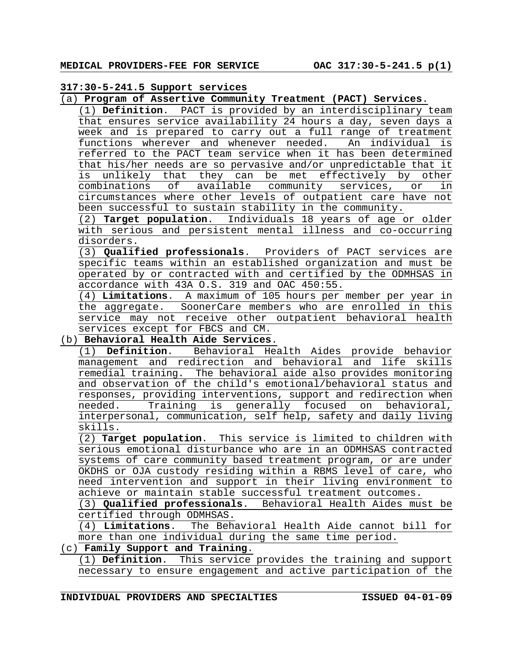#### **317:30-5-241.5 Support services**

(a) **Program of Assertive Community Treatment (PACT) Services**.

(1) **Definition**. PACT is provided by an interdisciplinary team that ensures service availability 24 hours a day, seven days a week and is prepared to carry out a full range of treatment<br>functions wherever and whenever needed. An individual is functions wherever and whenever needed. An individual is referred to the PACT team service when it has been determined that his/her needs are so pervasive and/or unpredictable that it is unlikely that they can be met effectively by other<br>combinations of available community services, or in combinations of available community services, or in circumstances where other levels of outpatient care have not been successful to sustain stability in the community.

(2) **Target population**. Individuals 18 years of age or older with serious and persistent mental illness and co-occurring disorders.

(3) **Qualified professionals**. Providers of PACT services are specific teams within an established organization and must be operated by or contracted with and certified by the ODMHSAS in accordance with 43A O.S. 319 and OAC 450:55.

(4) **Limitations**. A maximum of 105 hours per member per year in the aggregate. SoonerCare members who are enrolled in this service may not receive other outpatient behavioral health services except for FBCS and CM.

# (b) **Behavioral Health Aide Services**.

(1) **Definition**. Behavioral Health Aides provide behavior management and redirection and behavioral and life skills remedial training. The behavioral aide also provides monitoring and observation of the child's emotional/behavioral status and responses, providing interventions, support and redirection when needed. Training is generally focused on behavioral, interpersonal, communication, self help, safety and daily living skills.

(2) **Target population**. This service is limited to children with serious emotional disturbance who are in an ODMHSAS contracted systems of care community based treatment program, or are under OKDHS or OJA custody residing within a RBMS level of care, who need intervention and support in their living environment to achieve or maintain stable successful treatment outcomes.

(3) **Qualified professionals**. Behavioral Health Aides must be certified through ODMHSAS.

(4) **Limitations**. The Behavioral Health Aide cannot bill for more than one individual during the same time period.

# (c) **Family Support and Training**.

(1) **Definition**. This service provides the training and support necessary to ensure engagement and active participation of the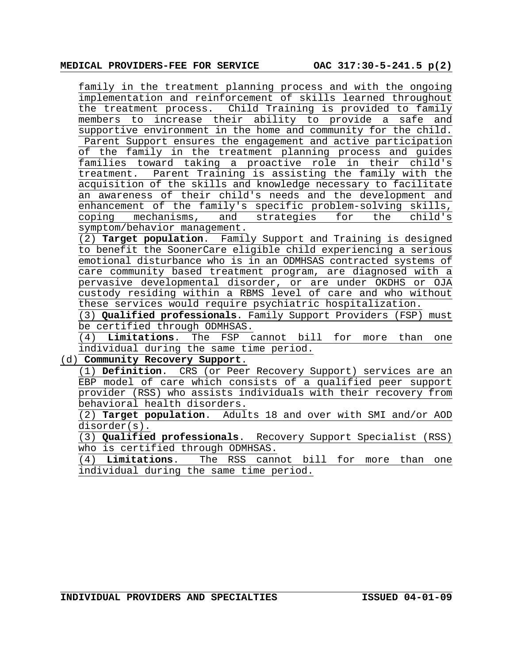family in the treatment planning process and with the ongoing implementation and reinforcement of skills learned throughout the treatment process. Child Training is provided to family members to increase their ability to provide a safe and supportive environment in the home and community for the child. Parent Support ensures the engagement and active participation of the family in the treatment planning process and guides families toward taking a proactive role in their child's treatment. Parent Training is assisting the family with the acquisition of the skills and knowledge necessary to facilitate an awareness of their child's needs and the development and enhancement of the family's specific problem-solving skills,<br>coping mechanisms, and strategies for the child's coping mechanisms, and strategies for the child's symptom/behavior management.

(2) **Target population**. Family Support and Training is designed to benefit the SoonerCare eligible child experiencing a serious emotional disturbance who is in an ODMHSAS contracted systems of care community based treatment program, are diagnosed with a pervasive developmental disorder, or are under OKDHS or OJA custody residing within a RBMS level of care and who without these services would require psychiatric hospitalization.

(3) **Qualified professionals**. Family Support Providers (FSP) must be certified through ODMHSAS.

(4) **Limitations**. The FSP cannot bill for more than one individual during the same time period.

(d) **Community Recovery Support**.

(1) **Definition**. CRS (or Peer Recovery Support) services are an EBP model of care which consists of a qualified peer support provider (RSS) who assists individuals with their recovery from behavioral health disorders.

(2) **Target population**. Adults 18 and over with SMI and/or AOD disorder(s).

(3) **Qualified professionals**. Recovery Support Specialist (RSS) who is certified through ODMHSAS.

(4) **Limitations**. The RSS cannot bill for more than one individual during the same time period.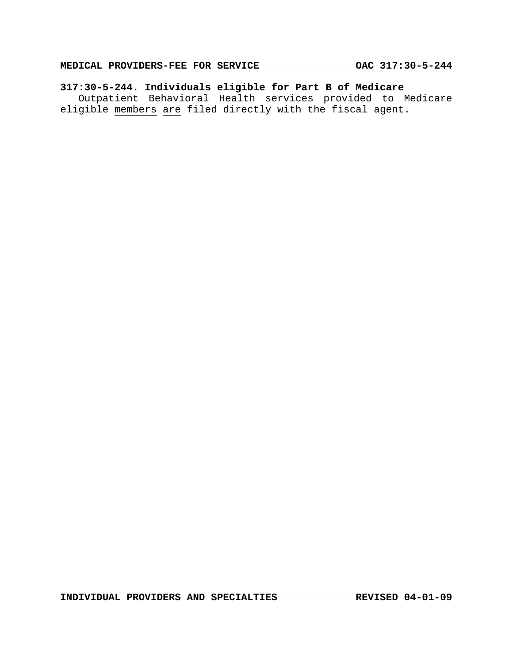# **317:30-5-244. Individuals eligible for Part B of Medicare**

Outpatient Behavioral Health services provided to Medicare eligible members are filed directly with the fiscal agent.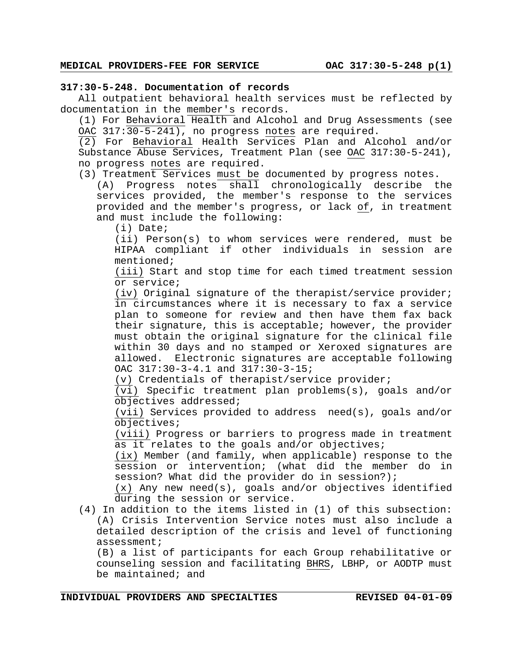#### **317:30-5-248. Documentation of records**

All outpatient behavioral health services must be reflected by documentation in the member's records.

(1) For Behavioral Health and Alcohol and Drug Assessments (see OAC 317:30-5-241), no progress notes are required.

(2) For Behavioral Health Services Plan and Alcohol and/or Substance Abuse Services, Treatment Plan (see OAC 317:30-5-241), no progress notes are required.

(3) Treatment Services must be documented by progress notes.

(A) Progress notes shall chronologically describe the services provided, the member's response to the services provided and the member's progress, or lack of, in treatment and must include the following:

(i) Date;

(ii) Person(s) to whom services were rendered, must be HIPAA compliant if other individuals in session are mentioned;

(iii) Start and stop time for each timed treatment session or service;

(iv) Original signature of the therapist/service provider; in circumstances where it is necessary to fax a service plan to someone for review and then have them fax back their signature, this is acceptable; however, the provider must obtain the original signature for the clinical file within 30 days and no stamped or Xeroxed signatures are allowed. Electronic signatures are acceptable following OAC 317:30-3-4.1 and 317:30-3-15;

(v) Credentials of therapist/service provider;

(vi) Specific treatment plan problems(s), goals and/or objectives addressed;

(vii) Services provided to address need(s), goals and/or objectives;

(viii) Progress or barriers to progress made in treatment as it relates to the goals and/or objectives;

(ix) Member (and family, when applicable) response to the session or intervention; (what did the member do in session? What did the provider do in session?);

(x) Any new need(s), goals and/or objectives identified during the session or service.

(4) In addition to the items listed in (1) of this subsection: (A) Crisis Intervention Service notes must also include a detailed description of the crisis and level of functioning assessment;

(B) a list of participants for each Group rehabilitative or counseling session and facilitating BHRS, LBHP, or AODTP must be maintained; and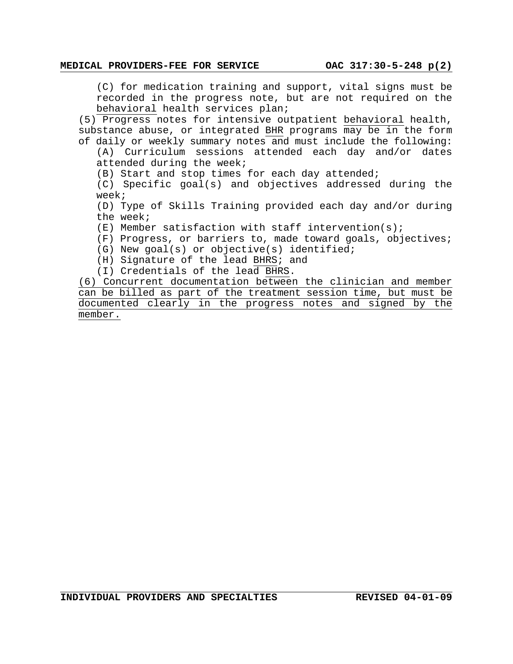(C) for medication training and support, vital signs must be recorded in the progress note, but are not required on the behavioral health services plan;

(5) Progress notes for intensive outpatient behavioral health, substance abuse, or integrated BHR programs may be in the form of daily or weekly summary notes and must include the following:

(A) Curriculum sessions attended each day and/or dates attended during the week;

(B) Start and stop times for each day attended;

(C) Specific goal(s) and objectives addressed during the week;

(D) Type of Skills Training provided each day and/or during the week;

(E) Member satisfaction with staff intervention(s);

- (F) Progress, or barriers to, made toward goals, objectives;
- (G) New goal(s) or objective(s) identified;
- (H) Signature of the lead BHRS; and
- (I) Credentials of the lead BHRS.

(6) Concurrent documentation between the clinician and member can be billed as part of the treatment session time, but must be documented clearly in the progress notes and signed by the member.